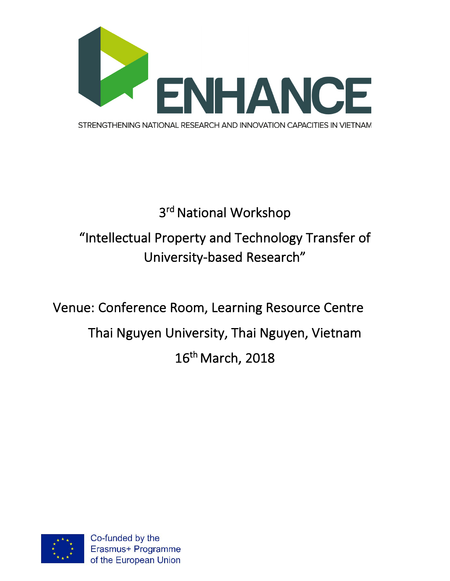

## 3<sup>rd</sup> National Workshop "Intellectual Property and Technology Transfer of University-based Research"

Venue: Conference Room, Learning Resource Centre Thai Nguyen University, Thai Nguyen, Vietnam 16th March, 2018

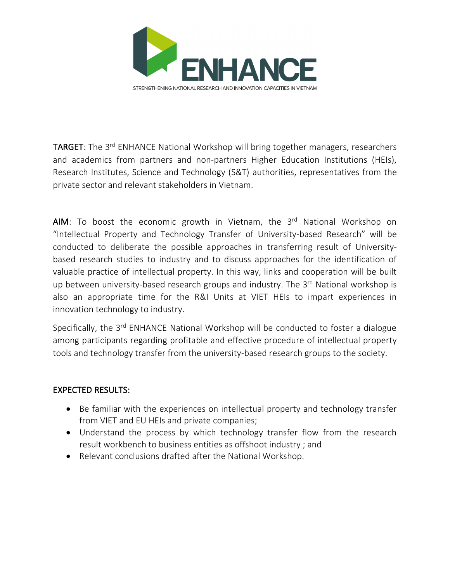

TARGET: The 3<sup>rd</sup> ENHANCE National Workshop will bring together managers, researchers and academics from partners and non-partners Higher Education Institutions (HEIs), Research Institutes, Science and Technology (S&T) authorities, representatives from the private sector and relevant stakeholders in Vietnam.

AIM: To boost the economic growth in Vietnam, the  $3<sup>rd</sup>$  National Workshop on "Intellectual Property and Technology Transfer of University-based Research" will be conducted to deliberate the possible approaches in transferring result of Universitybased research studies to industry and to discuss approaches for the identification of valuable practice of intellectual property. In this way, links and cooperation will be built up between university-based research groups and industry. The 3<sup>rd</sup> National workshop is also an appropriate time for the R&I Units at VIET HEIs to impart experiences in innovation technology to industry.

Specifically, the 3<sup>rd</sup> ENHANCE National Workshop will be conducted to foster a dialogue among participants regarding profitable and effective procedure of intellectual property tools and technology transfer from the university-based research groups to the society.

## EXPECTED RESULTS:

- Be familiar with the experiences on intellectual property and technology transfer from VIET and EU HEIs and private companies;
- Understand the process by which technology transfer flow from the research result workbench to business entities as offshoot industry ; and
- Relevant conclusions drafted after the National Workshop.